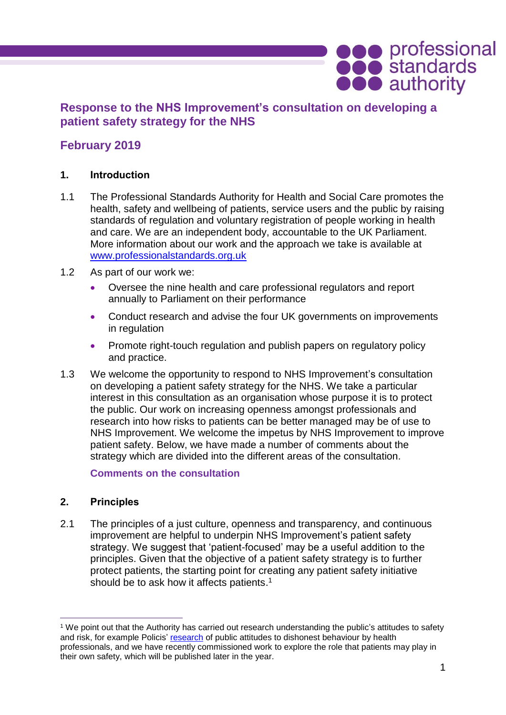# **Response to the NHS Improvement's consultation on developing a patient safety strategy for the NHS**

# **February 2019**

### **1. Introduction**

- 1.1 The Professional Standards Authority for Health and Social Care promotes the health, safety and wellbeing of patients, service users and the public by raising standards of regulation and voluntary registration of people working in health and care. We are an independent body, accountable to the UK Parliament. More information about our work and the approach we take is available at [www.professionalstandards.org.uk](http://www.professionalstandards.org.uk/)
- 1.2 As part of our work we:
	- Oversee the nine health and care professional regulators and report annually to Parliament on their performance
	- Conduct research and advise the four UK governments on improvements in regulation
	- Promote right-touch regulation and publish papers on regulatory policy and practice.
- 1.3 We welcome the opportunity to respond to NHS Improvement's consultation on developing a patient safety strategy for the NHS. We take a particular interest in this consultation as an organisation whose purpose it is to protect the public. Our work on increasing openness amongst professionals and research into how risks to patients can be better managed may be of use to NHS Improvement. We welcome the impetus by NHS Improvement to improve patient safety. Below, we have made a number of comments about the strategy which are divided into the different areas of the consultation.

**Comments on the consultation**

#### **2. Principles**

2.1 The principles of a just culture, openness and transparency, and continuous improvement are helpful to underpin NHS Improvement's patient safety strategy. We suggest that 'patient-focused' may be a useful addition to the principles. Given that the objective of a patient safety strategy is to further protect patients, the starting point for creating any patient safety initiative should be to ask how it affects patients.<sup>1</sup>

**OCO** professional<br> **OCO** authority

 $\overline{a}$ <sup>1</sup> We point out that the Authority has carried out research understanding the public's attitudes to safety and risk, for example Policis' [research](https://www.professionalstandards.org.uk/docs/default-source/publications/research-paper/dishonest-behaviour-by-hcp-research.pdf?sfvrsn=cff17120_34) of public attitudes to dishonest behaviour by health professionals, and we have recently commissioned work to explore the role that patients may play in their own safety, which will be published later in the year.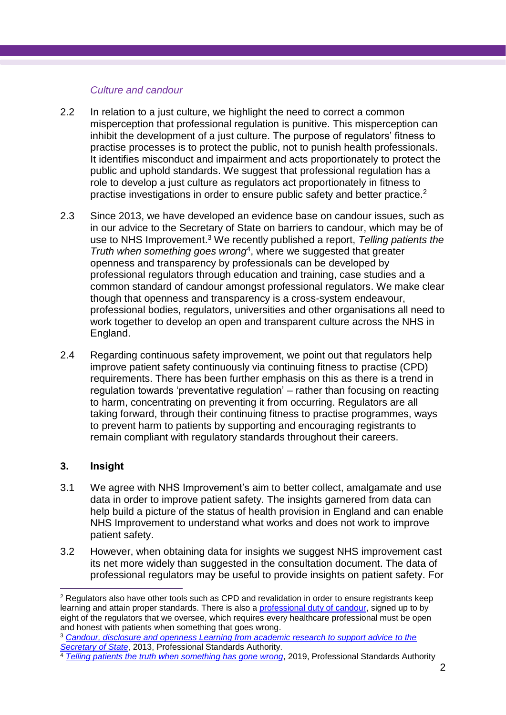#### *Culture and candour*

- 2.2 In relation to a just culture, we highlight the need to correct a common misperception that professional regulation is punitive. This misperception can inhibit the development of a just culture. The purpose of regulators' fitness to practise processes is to protect the public, not to punish health professionals. It identifies misconduct and impairment and acts proportionately to protect the public and uphold standards. We suggest that professional regulation has a role to develop a just culture as regulators act proportionately in fitness to practise investigations in order to ensure public safety and better practice.<sup>2</sup>
- 2.3 Since 2013, we have developed an evidence base on candour issues, such as in our advice to the Secretary of State on barriers to candour, which may be of use to NHS Improvement. <sup>3</sup> We recently published a report, *Telling patients the Truth when something goes wrong*<sup>4</sup> , where we suggested that greater openness and transparency by professionals can be developed by professional regulators through education and training, case studies and a common standard of candour amongst professional regulators. We make clear though that openness and transparency is a cross-system endeavour, professional bodies, regulators, universities and other organisations all need to work together to develop an open and transparent culture across the NHS in England.
- 2.4 Regarding continuous safety improvement, we point out that regulators help improve patient safety continuously via continuing fitness to practise (CPD) requirements. There has been further emphasis on this as there is a trend in regulation towards 'preventative regulation' – rather than focusing on reacting to harm, concentrating on preventing it from occurring. Regulators are all taking forward, through their continuing fitness to practise programmes, ways to prevent harm to patients by supporting and encouraging registrants to remain compliant with regulatory standards throughout their careers.

## **3. Insight**

 $\overline{a}$ 

- 3.1 We agree with NHS Improvement's aim to better collect, amalgamate and use data in order to improve patient safety. The insights garnered from data can help build a picture of the status of health provision in England and can enable NHS Improvement to understand what works and does not work to improve patient safety.
- 3.2 However, when obtaining data for insights we suggest NHS improvement cast its net more widely than suggested in the consultation document. The data of professional regulators may be useful to provide insights on patient safety. For

<sup>4</sup> [Telling patients the truth when something has gone wrong](https://www.professionalstandards.org.uk/docs/default-source/publications/research-paper/telling-patients-the-truth-when-something-goes-wrong---how-have-professional-regulators-encouraged-professionals-to-be-candid-to-patients.pdf?sfvrsn=100f7520_6), 2019, Professional Standards Authority

<sup>&</sup>lt;sup>2</sup> Regulators also have other tools such as CPD and revalidation in order to ensure registrants keep learning and attain proper standards. There is also a professional [duty of candour,](https://www.pharmacyregulation.org/sites/default/files/joint_statement_on_the_professional_duty_of_candour.pdf) signed up to by eight of the regulators that we oversee, which requires every healthcare professional must be open and honest with patients when something that goes wrong.

<sup>3</sup> *[Candour, disclosure and openness Learning from academic research to support advice to the](https://www.professionalstandards.org.uk/docs/default-source/publications/research-paper/candour-research-paper-2013.pdf?sfvrsn=5b957120_8)  [Secretary of State](https://www.professionalstandards.org.uk/docs/default-source/publications/research-paper/candour-research-paper-2013.pdf?sfvrsn=5b957120_8)*, 2013, Professional Standards Authority.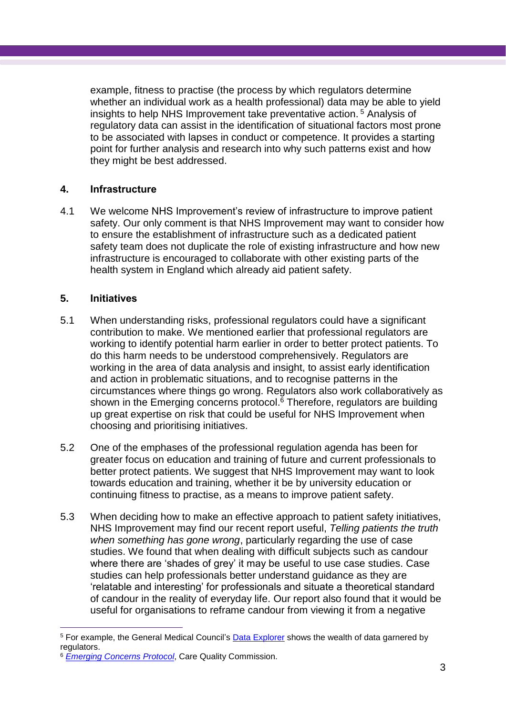example, fitness to practise (the process by which regulators determine whether an individual work as a health professional) data may be able to yield insights to help NHS Improvement take preventative action. <sup>5</sup> Analysis of regulatory data can assist in the identification of situational factors most prone to be associated with lapses in conduct or competence. It provides a starting point for further analysis and research into why such patterns exist and how they might be best addressed.

## **4. Infrastructure**

4.1 We welcome NHS Improvement's review of infrastructure to improve patient safety. Our only comment is that NHS Improvement may want to consider how to ensure the establishment of infrastructure such as a dedicated patient safety team does not duplicate the role of existing infrastructure and how new infrastructure is encouraged to collaborate with other existing parts of the health system in England which already aid patient safety.

### **5. Initiatives**

 $\overline{a}$ 

- 5.1 When understanding risks, professional regulators could have a significant contribution to make. We mentioned earlier that professional regulators are working to identify potential harm earlier in order to better protect patients. To do this harm needs to be understood comprehensively. Regulators are working in the area of data analysis and insight, to assist early identification and action in problematic situations, and to recognise patterns in the circumstances where things go wrong. Regulators also work collaboratively as shown in the Emerging concerns protocol. <sup>6</sup> Therefore, regulators are building up great expertise on risk that could be useful for NHS Improvement when choosing and prioritising initiatives.
- 5.2 One of the emphases of the professional regulation agenda has been for greater focus on education and training of future and current professionals to better protect patients. We suggest that NHS Improvement may want to look towards education and training, whether it be by university education or continuing fitness to practise, as a means to improve patient safety.
- 5.3 When deciding how to make an effective approach to patient safety initiatives, NHS Improvement may find our recent report useful, *Telling patients the truth when something has gone wrong*, particularly regarding the use of case studies. We found that when dealing with difficult subjects such as candour where there are 'shades of grey' it may be useful to use case studies. Case studies can help professionals better understand guidance as they are 'relatable and interesting' for professionals and situate a theoretical standard of candour in the reality of everyday life. Our report also found that it would be useful for organisations to reframe candour from viewing it from a negative

<sup>5</sup> For example, the General Medical Council's [Data Explorer](https://www.gmc-uk.org/about/what-we-do-and-why/data-and-research/gmc-data-explorer) shows the wealth of data garnered by regulators.

<sup>6</sup> *[Emerging Concerns Protocol](https://www.cqc.org.uk/sites/default/files/20181112_emerging-concerns-protocol.pdf)*, Care Quality Commission.